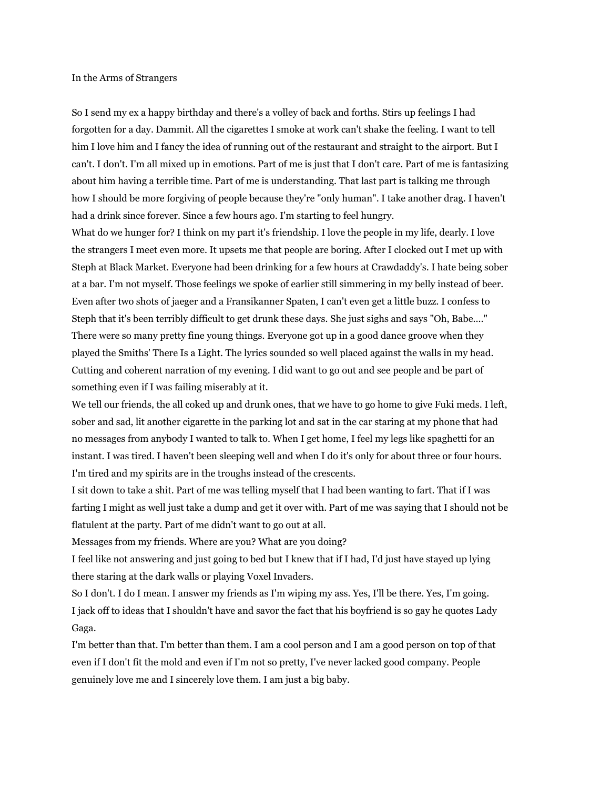## In the Arms of Strangers

So I send my ex a happy birthday and there's a volley of back and forths. Stirs up feelings I had forgotten for a day. Dammit. All the cigarettes I smoke at work can't shake the feeling. I want to tell him I love him and I fancy the idea of running out of the restaurant and straight to the airport. But I can't. I don't. I'm all mixed up in emotions. Part of me is just that I don't care. Part of me is fantasizing about him having a terrible time. Part of me is understanding. That last part is talking me through how I should be more forgiving of people because they're "only human". I take another drag. I haven't had a drink since forever. Since a few hours ago. I'm starting to feel hungry.

What do we hunger for? I think on my part it's friendship. I love the people in my life, dearly. I love the strangers I meet even more. It upsets me that people are boring. After I clocked out I met up with Steph at Black Market. Everyone had been drinking for a few hours at Crawdaddy's. I hate being sober at a bar. I'm not myself. Those feelings we spoke of earlier still simmering in my belly instead of beer. Even after two shots of jaeger and a Fransikanner Spaten, I can't even get a little buzz. I confess to Steph that it's been terribly difficult to get drunk these days. She just sighs and says "Oh, Babe...." There were so many pretty fine young things. Everyone got up in a good dance groove when they played the Smiths' There Is a Light. The lyrics sounded so well placed against the walls in my head. Cutting and coherent narration of my evening. I did want to go out and see people and be part of something even if I was failing miserably at it.

We tell our friends, the all coked up and drunk ones, that we have to go home to give Fuki meds. I left, sober and sad, lit another cigarette in the parking lot and sat in the car staring at my phone that had no messages from anybody I wanted to talk to. When I get home, I feel my legs like spaghetti for an instant. I was tired. I haven't been sleeping well and when I do it's only for about three or four hours. I'm tired and my spirits are in the troughs instead of the crescents.

I sit down to take a shit. Part of me was telling myself that I had been wanting to fart. That if I was farting I might as well just take a dump and get it over with. Part of me was saying that I should not be flatulent at the party. Part of me didn't want to go out at all.

Messages from my friends. Where are you? What are you doing?

I feel like not answering and just going to bed but I knew that if I had, I'd just have stayed up lying there staring at the dark walls or playing Voxel Invaders.

So I don't. I do I mean. I answer my friends as I'm wiping my ass. Yes, I'll be there. Yes, I'm going. I jack off to ideas that I shouldn't have and savor the fact that his boyfriend is so gay he quotes Lady Gaga.

I'm better than that. I'm better than them. I am a cool person and I am a good person on top of that even if I don't fit the mold and even if I'm not so pretty, I've never lacked good company. People genuinely love me and I sincerely love them. I am just a big baby.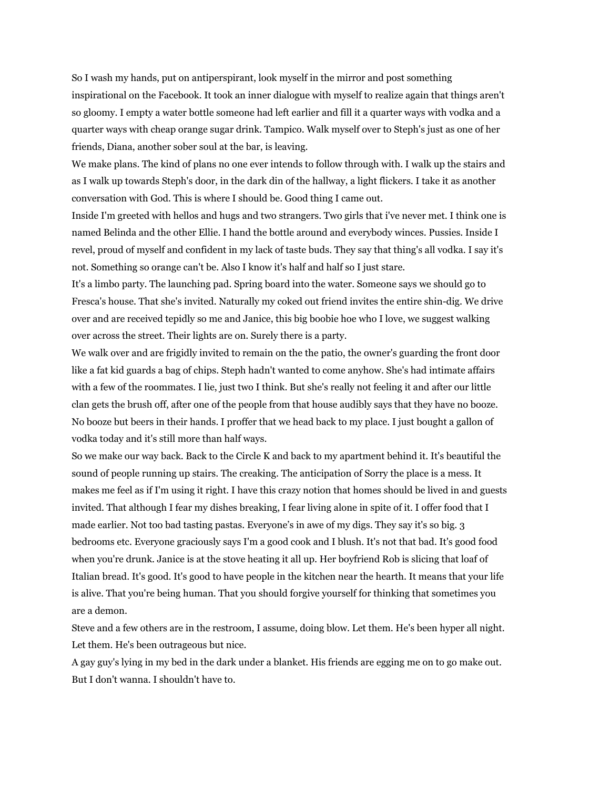So I wash my hands, put on antiperspirant, look myself in the mirror and post something inspirational on the Facebook. It took an inner dialogue with myself to realize again that things aren't so gloomy. I empty a water bottle someone had left earlier and fill it a quarter ways with vodka and a quarter ways with cheap orange sugar drink. Tampico. Walk myself over to Steph's just as one of her friends, Diana, another sober soul at the bar, is leaving.

We make plans. The kind of plans no one ever intends to follow through with. I walk up the stairs and as I walk up towards Steph's door, in the dark din of the hallway, a light flickers. I take it as another conversation with God. This is where I should be. Good thing I came out.

Inside I'm greeted with hellos and hugs and two strangers. Two girls that i've never met. I think one is named Belinda and the other Ellie. I hand the bottle around and everybody winces. Pussies. Inside I revel, proud of myself and confident in my lack of taste buds. They say that thing's all vodka. I say it's not. Something so orange can't be. Also I know it's half and half so I just stare.

It's a limbo party. The launching pad. Spring board into the water. Someone says we should go to Fresca's house. That she's invited. Naturally my coked out friend invites the entire shin-dig. We drive over and are received tepidly so me and Janice, this big boobie hoe who I love, we suggest walking over across the street. Their lights are on. Surely there is a party.

We walk over and are frigidly invited to remain on the the patio, the owner's guarding the front door like a fat kid guards a bag of chips. Steph hadn't wanted to come anyhow. She's had intimate affairs with a few of the roommates. I lie, just two I think. But she's really not feeling it and after our little clan gets the brush off, after one of the people from that house audibly says that they have no booze. No booze but beers in their hands. I proffer that we head back to my place. I just bought a gallon of vodka today and it's still more than half ways.

So we make our way back. Back to the Circle K and back to my apartment behind it. It's beautiful the sound of people running up stairs. The creaking. The anticipation of Sorry the place is a mess. It makes me feel as if I'm using it right. I have this crazy notion that homes should be lived in and guests invited. That although I fear my dishes breaking, I fear living alone in spite of it. I offer food that I made earlier. Not too bad tasting pastas. Everyone's in awe of my digs. They say it's so big. 3 bedrooms etc. Everyone graciously says I'm a good cook and I blush. It's not that bad. It's good food when you're drunk. Janice is at the stove heating it all up. Her boyfriend Rob is slicing that loaf of Italian bread. It's good. It's good to have people in the kitchen near the hearth. It means that your life is alive. That you're being human. That you should forgive yourself for thinking that sometimes you are a demon.

Steve and a few others are in the restroom, I assume, doing blow. Let them. He's been hyper all night. Let them. He's been outrageous but nice.

A gay guy's lying in my bed in the dark under a blanket. His friends are egging me on to go make out. But I don't wanna. I shouldn't have to.